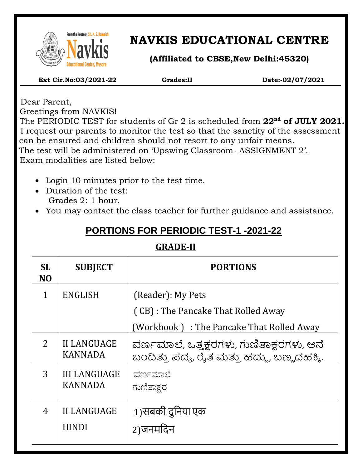

 $\overline{\phantom{a}}$ 

# **NAVKIS EDUCATIONAL CENTRE**

**(Affiliated to CBSE,New Delhi:45320)**

 **Ext Cir.No:03/2021-22 Grades:II Date:-02/07/2021**

 Dear Parent, Greetings from NAVKIS!

 The PERIODIC TEST for students of Gr 2 is scheduled from **22nd of JULY 2021.** I request our parents to monitor the test so that the sanctity of the assessment can be ensured and children should not resort to any unfair means. The test will be administered on 'Upswing Classroom- ASSIGNMENT 2'. Exam modalities are listed below:

- Login 10 minutes prior to the test time.
- Duration of the test: Grades 2: 1 hour.
- You may contact the class teacher for further guidance and assistance.

## **PORTIONS FOR PERIODIC TEST-1 -2021-22**

## **GRADE-II**

| <b>SL</b><br>N <sub>O</sub> | <b>SUBJECT</b>                        | <b>PORTIONS</b>                                                                                      |
|-----------------------------|---------------------------------------|------------------------------------------------------------------------------------------------------|
| 1                           | <b>ENGLISH</b>                        | (Reader): My Pets<br>(CB) : The Pancake That Rolled Away<br>(Workbook): The Pancake That Rolled Away |
| 2                           | <b>II LANGUAGE</b><br><b>KANNADA</b>  | ವರ್ಣಮಾಲೆ, ಒತ್ತಕ್ಷರಗಳು, ಗುಣಿತಾಕ್ಷರಗಳು, ಆನೆ<br>ಬಂದಿತ್ತು ಪದ್ಯ, ರೈತ ಮತ್ತು ಹದ್ದು, ಬಣ್ಣದಹಕ್ಕಿ.             |
| 3                           | <b>III LANGUAGE</b><br><b>KANNADA</b> | ವರ್ಣಮಾಲೆ<br>ಗುಣಿತಾಕ್ಷರ                                                                               |
| $\overline{4}$              | <b>II LANGUAGE</b><br><b>HINDI</b>    | 1)सबकी दुनिया एक<br>2)जनमदिन                                                                         |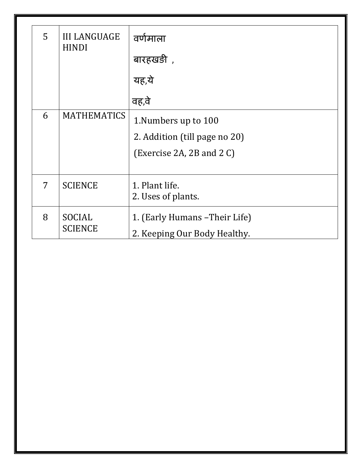| 5                       | <b>III LANGUAGE</b><br><b>HINDI</b> | वर्णमाला                       |
|-------------------------|-------------------------------------|--------------------------------|
|                         |                                     | बारहखड़ी),                     |
|                         |                                     | यह,ये                          |
|                         |                                     | वह,वे                          |
| 6<br><b>MATHEMATICS</b> |                                     | 1. Numbers up to 100           |
|                         |                                     | 2. Addition (till page no 20)  |
|                         |                                     | (Exercise 2A, 2B and $2 C$ )   |
|                         |                                     |                                |
| 7                       | <b>SCIENCE</b>                      | 1. Plant life.                 |
|                         |                                     | 2. Uses of plants.             |
| 8                       | SOCIAL<br><b>SCIENCE</b>            | 1. (Early Humans - Their Life) |
|                         |                                     | 2. Keeping Our Body Healthy.   |